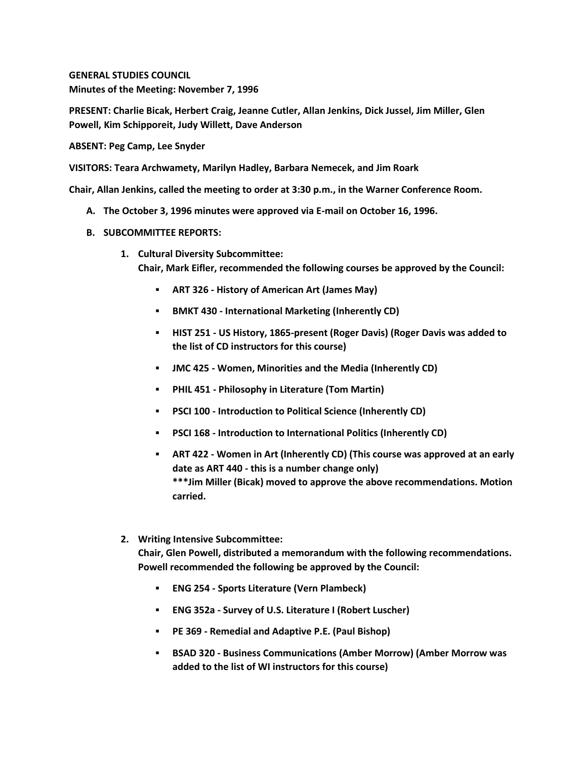**GENERAL STUDIES COUNCIL Minutes of the Meeting: November 7, 1996**

**PRESENT: Charlie Bicak, Herbert Craig, Jeanne Cutler, Allan Jenkins, Dick Jussel, Jim Miller, Glen Powell, Kim Schipporeit, Judy Willett, Dave Anderson**

**ABSENT: Peg Camp, Lee Snyder**

**VISITORS: Teara Archwamety, Marilyn Hadley, Barbara Nemecek, and Jim Roark**

**Chair, Allan Jenkins, called the meeting to order at 3:30 p.m., in the Warner Conference Room.**

- **A. The October 3, 1996 minutes were approved via E-mail on October 16, 1996.**
- **B. SUBCOMMITTEE REPORTS:**
	- **1. Cultural Diversity Subcommittee: Chair, Mark Eifler, recommended the following courses be approved by the Council:** 
		- **ART 326 - History of American Art (James May)**
		- **BMKT 430 - International Marketing (Inherently CD)**
		- **HIST 251 - US History, 1865-present (Roger Davis) (Roger Davis was added to the list of CD instructors for this course)**
		- **JMC 425 - Women, Minorities and the Media (Inherently CD)**
		- **PHIL 451 - Philosophy in Literature (Tom Martin)**
		- **PSCI 100 - Introduction to Political Science (Inherently CD)**
		- **PSCI 168 - Introduction to International Politics (Inherently CD)**
		- **ART 422 - Women in Art (Inherently CD) (This course was approved at an early date as ART 440 - this is a number change only) \*\*\*Jim Miller (Bicak) moved to approve the above recommendations. Motion carried.**
	- **2. Writing Intensive Subcommittee:**

**Chair, Glen Powell, distributed a memorandum with the following recommendations. Powell recommended the following be approved by the Council:** 

- **ENG 254 - Sports Literature (Vern Plambeck)**
- **ENG 352a - Survey of U.S. Literature I (Robert Luscher)**
- **PE 369 - Remedial and Adaptive P.E. (Paul Bishop)**
- **BSAD 320 - Business Communications (Amber Morrow) (Amber Morrow was added to the list of WI instructors for this course)**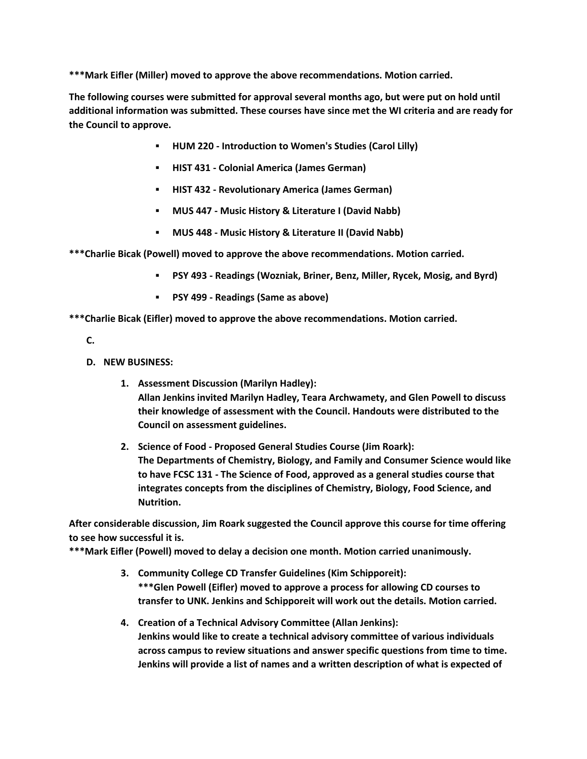**\*\*\*Mark Eifler (Miller) moved to approve the above recommendations. Motion carried.** 

**The following courses were submitted for approval several months ago, but were put on hold until additional information was submitted. These courses have since met the WI criteria and are ready for the Council to approve.**

- **HUM 220 - Introduction to Women's Studies (Carol Lilly)**
- **HIST 431 - Colonial America (James German)**
- **HIST 432 - Revolutionary America (James German)**
- **MUS 447 - Music History & Literature I (David Nabb)**
- **MUS 448 - Music History & Literature II (David Nabb)**

**\*\*\*Charlie Bicak (Powell) moved to approve the above recommendations. Motion carried.** 

- **PSY 493 - Readings (Wozniak, Briner, Benz, Miller, Rycek, Mosig, and Byrd)**
- **PSY 499 - Readings (Same as above)**

**\*\*\*Charlie Bicak (Eifler) moved to approve the above recommendations. Motion carried.**

**C.**

- **D. NEW BUSINESS:**
	- **1. Assessment Discussion (Marilyn Hadley): Allan Jenkins invited Marilyn Hadley, Teara Archwamety, and Glen Powell to discuss their knowledge of assessment with the Council. Handouts were distributed to the Council on assessment guidelines.**
	- **2. Science of Food - Proposed General Studies Course (Jim Roark): The Departments of Chemistry, Biology, and Family and Consumer Science would like to have FCSC 131 - The Science of Food, approved as a general studies course that integrates concepts from the disciplines of Chemistry, Biology, Food Science, and Nutrition.**

**After considerable discussion, Jim Roark suggested the Council approve this course for time offering to see how successful it is.**

**\*\*\*Mark Eifler (Powell) moved to delay a decision one month. Motion carried unanimously.**

- **3. Community College CD Transfer Guidelines (Kim Schipporeit): \*\*\*Glen Powell (Eifler) moved to approve a process for allowing CD courses to transfer to UNK. Jenkins and Schipporeit will work out the details. Motion carried.**
- **4. Creation of a Technical Advisory Committee (Allan Jenkins): Jenkins would like to create a technical advisory committee of various individuals across campus to review situations and answer specific questions from time to time. Jenkins will provide a list of names and a written description of what is expected of**